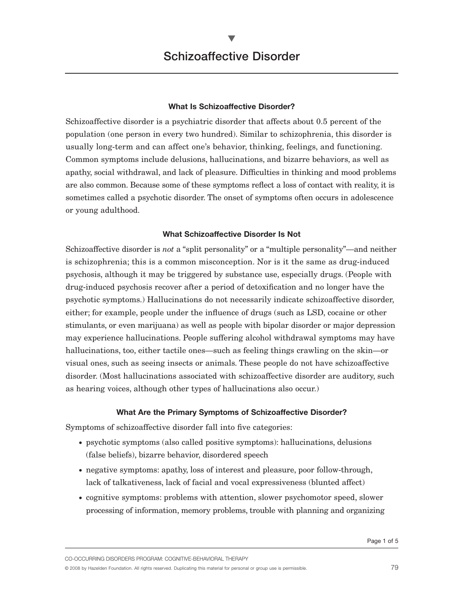$\blacktriangledown$ 

#### **What Is Schizoaffective Disorder?**

Schizoaffective disorder is a psychiatric disorder that affects about 0.5 percent of the population (one person in every two hundred). Similar to schizophrenia, this disorder is usually long-term and can affect one's behavior, thinking, feelings, and functioning. Common symptoms include delusions, hallucinations, and bizarre behaviors, as well as apathy, social withdrawal, and lack of pleasure. Difficulties in thinking and mood problems are also common. Because some of these symptoms reflect a loss of contact with reality, it is sometimes called a psychotic disorder. The onset of symptoms often occurs in adolescence or young adulthood.

## **What Schizoaffective Disorder Is Not**

Schizoaffective disorder is *not* a "split personality" or a "multiple personality"—and neither is schizophrenia; this is a common misconception. Nor is it the same as drug-induced psychosis, although it may be triggered by substance use, especially drugs. (People with drug-induced psychosis recover after a period of detoxification and no longer have the psychotic symptoms.) Hallucinations do not necessarily indicate schizoaffective disorder, either; for example, people under the influence of drugs (such as LSD, cocaine or other stimulants, or even marijuana) as well as people with bipolar disorder or major depression may experience hallucinations. People suffering alcohol withdrawal symptoms may have hallucinations, too, either tactile ones—such as feeling things crawling on the skin—or visual ones, such as seeing insects or animals. These people do not have schizoaffective disorder. (Most hallucinations associated with schizoaffective disorder are auditory, such as hearing voices, although other types of hallucinations also occur.)

#### **What Are the Primary Symptoms of Schizoaffective Disorder?**

Symptoms of schizoaffective disorder fall into five categories:

- psychotic symptoms (also called positive symptoms): hallucinations, delusions (false beliefs), bizarre behavior, disordered speech
- negative symptoms: apathy, loss of interest and pleasure, poor follow-through, lack of talkativeness, lack of facial and vocal expressiveness (blunted affect)
- cognitive symptoms: problems with attention, slower psychomotor speed, slower processing of information, memory problems, trouble with planning and organizing

CO-OCCURRING DISORDERS PROGRAM: COGNITIVE-BEHAVIORAL THERAPY

© <sup>2008</sup> by Hazelden Foundation. All rights reserved. Duplicating this material for personal or group use is permissible. 79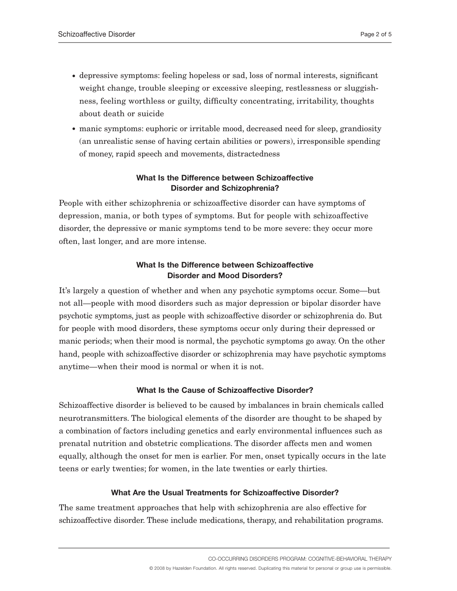- depressive symptoms: feeling hopeless or sad, loss of normal interests, significant weight change, trouble sleeping or excessive sleeping, restlessness or sluggishness, feeling worthless or guilty, difficulty concentrating, irritability, thoughts about death or suicide
- manic symptoms: euphoric or irritable mood, decreased need for sleep, grandiosity (an unrealistic sense of having certain abilities or powers), irresponsible spending of money, rapid speech and movements, distractedness

# **What Is the Difference between Schizoaffective Disorder and Schizophrenia?**

People with either schizophrenia or schizoaffective disorder can have symptoms of depression, mania, or both types of symptoms. But for people with schizoaffective disorder, the depressive or manic symptoms tend to be more severe: they occur more often, last longer, and are more intense.

# **What Is the Difference between Schizoaffective Disorder and Mood Disorders?**

It's largely a question of whether and when any psychotic symptoms occur. Some—but not all—people with mood disorders such as major depression or bipolar disorder have psychotic symptoms, just as people with schizoaffective disorder or schizophrenia do. But for people with mood disorders, these symptoms occur only during their depressed or manic periods; when their mood is normal, the psychotic symptoms go away. On the other hand, people with schizoaffective disorder or schizophrenia may have psychotic symptoms anytime—when their mood is normal or when it is not.

# **What Is the Cause of Schizoaffective Disorder?**

Schizoaffective disorder is believed to be caused by imbalances in brain chemicals called neurotransmitters. The biological elements of the disorder are thought to be shaped by a combination of factors including genetics and early environmental influences such as prenatal nutrition and obstetric complications. The disorder affects men and women equally, although the onset for men is earlier. For men, onset typically occurs in the late teens or early twenties; for women, in the late twenties or early thirties.

# **What Are the Usual Treatments for Schizoaffective Disorder?**

The same treatment approaches that help with schizophrenia are also effective for schizoaffective disorder. These include medications, therapy, and rehabilitation programs.

CO-OCCURRING DISORDERS PROGRAM: COGNITIVE-BEHAVIORAL THERAPY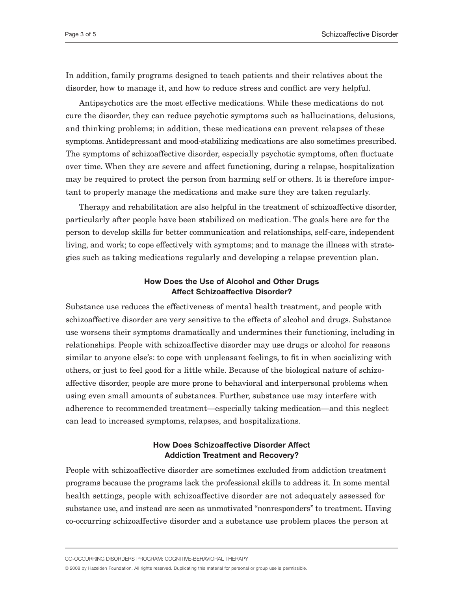In addition, family programs designed to teach patients and their relatives about the disorder, how to manage it, and how to reduce stress and conflict are very helpful.

Antipsychotics are the most effective medications. While these medications do not cure the disorder, they can reduce psychotic symptoms such as hallucinations, delusions, and thinking problems; in addition, these medications can prevent relapses of these symptoms. Antidepressant and mood-stabilizing medications are also sometimes prescribed. The symptoms of schizoaffective disorder, especially psychotic symptoms, often fluctuate over time. When they are severe and affect functioning, during a relapse, hospitalization may be required to protect the person from harming self or others. It is therefore important to properly manage the medications and make sure they are taken regularly.

Therapy and rehabilitation are also helpful in the treatment of schizoaffective disorder, particularly after people have been stabilized on medication. The goals here are for the person to develop skills for better communication and relationships, self-care, independent living, and work; to cope effectively with symptoms; and to manage the illness with strategies such as taking medications regularly and developing a relapse prevention plan.

#### **How Does the Use of Alcohol and Other Drugs Affect Schizoaffective Disorder?**

Substance use reduces the effectiveness of mental health treatment, and people with schizoaffective disorder are very sensitive to the effects of alcohol and drugs. Substance use worsens their symptoms dramatically and undermines their functioning, including in relationships. People with schizoaffective disorder may use drugs or alcohol for reasons similar to anyone else's: to cope with unpleasant feelings, to fit in when socializing with others, or just to feel good for a little while. Because of the biological nature of schizoaffective disorder, people are more prone to behavioral and interpersonal problems when using even small amounts of substances. Further, substance use may interfere with adherence to recommended treatment—especially taking medication—and this neglect can lead to increased symptoms, relapses, and hospitalizations.

## **How Does Schizoaffective Disorder Affect Addiction Treatment and Recovery?**

People with schizoaffective disorder are sometimes excluded from addiction treatment programs because the programs lack the professional skills to address it. In some mental health settings, people with schizoaffective disorder are not adequately assessed for substance use, and instead are seen as unmotivated "nonresponders" to treatment. Having co-occurring schizoaffective disorder and a substance use problem places the person at

CO-OCCURRING DISORDERS PROGRAM: COGNITIVE-BEHAVIORAL THERAPY

© 2008 by Hazelden Foundation. All rights reserved. Duplicating this material for personal or group use is permissible.